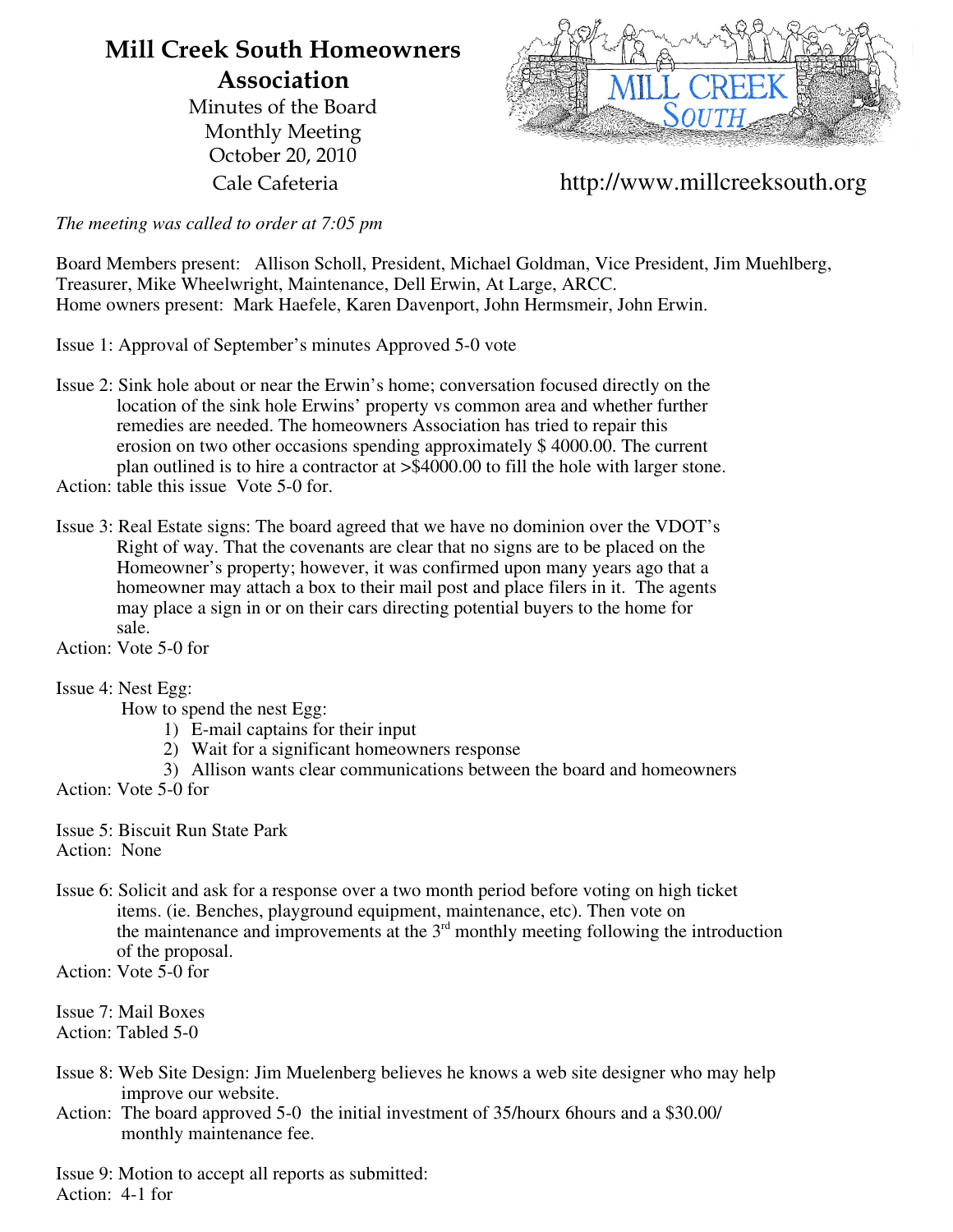## **Mill Creek South Homeowners Association**

Minutes of the Board Monthly Meeting October 20, 2010



Cale Cafeteria http://www.millcreeksouth.org

*The meeting was called to order at 7:05 pm*

Board Members present: Allison Scholl, President, Michael Goldman, Vice President, Jim Muehlberg, Treasurer, Mike Wheelwright, Maintenance, Dell Erwin, At Large, ARCC. Home owners present: Mark Haefele, Karen Davenport, John Hermsmeir, John Erwin.

Issue 1: Approval of September's minutes Approved 5-0 vote

- Issue 2: Sink hole about or near the Erwin's home; conversation focused directly on the location of the sink hole Erwins' property vs common area and whether further remedies are needed. The homeowners Association has tried to repair this erosion on two other occasions spending approximately \$ 4000.00. The current plan outlined is to hire a contractor at >\$4000.00 to fill the hole with larger stone.
- Action: table this issue Vote 5-0 for.
- Issue 3: Real Estate signs: The board agreed that we have no dominion over the VDOT's Right of way. That the covenants are clear that no signs are to be placed on the Homeowner's property; however, it was confirmed upon many years ago that a homeowner may attach a box to their mail post and place filers in it. The agents may place a sign in or on their cars directing potential buyers to the home for sale.

Action: Vote 5-0 for

## Issue 4: Nest Egg:

How to spend the nest Egg:

- 1) E-mail captains for their input
- 2) Wait for a significant homeowners response
- 3) Allison wants clear communications between the board and homeowners

Action: Vote 5-0 for

Issue 5: Biscuit Run State Park Action: None

Issue 6: Solicit and ask for a response over a two month period before voting on high ticket items. (ie. Benches, playground equipment, maintenance, etc). Then vote on the maintenance and improvements at the  $3<sup>rd</sup>$  monthly meeting following the introduction of the proposal.

Action: Vote 5-0 for

Issue 7: Mail Boxes Action: Tabled 5-0

- Issue 8: Web Site Design: Jim Muelenberg believes he knows a web site designer who may help improve our website.
- Action: The board approved 5-0 the initial investment of 35/hourx 6hours and a \$30.00/ monthly maintenance fee.

Issue 9: Motion to accept all reports as submitted: Action: 4-1 for